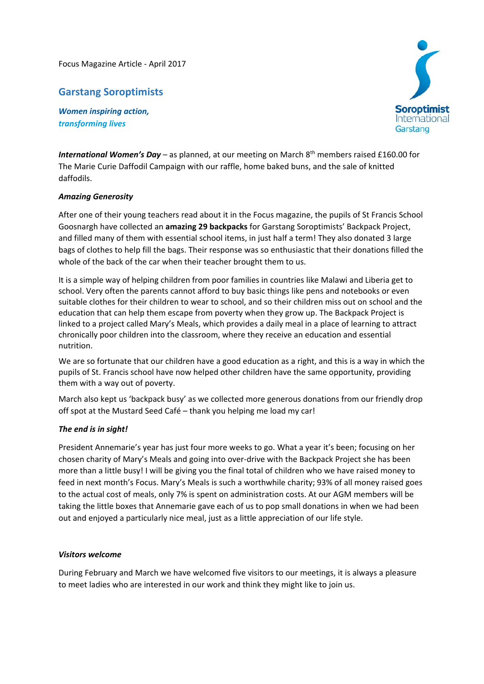Focus Magazine Article ‐ April 2017

## **Garstang Soroptimists**

*Women inspiring action, transforming lives*



International Women's Day - as planned, at our meeting on March 8<sup>th</sup> members raised £160.00 for The Marie Curie Daffodil Campaign with our raffle, home baked buns, and the sale of knitted daffodils.

## *Amazing Generosity*

After one of their young teachers read about it in the Focus magazine, the pupils of St Francis School Goosnargh have collected an **amazing 29 backpacks** for Garstang Soroptimists' Backpack Project, and filled many of them with essential school items, in just half a term! They also donated 3 large bags of clothes to help fill the bags. Their response was so enthusiastic that their donations filled the whole of the back of the car when their teacher brought them to us.

It is a simple way of helping children from poor families in countries like Malawi and Liberia get to school. Very often the parents cannot afford to buy basic things like pens and notebooks or even suitable clothes for their children to wear to school, and so their children miss out on school and the education that can help them escape from poverty when they grow up. The Backpack Project is linked to a project called Mary's Meals, which provides a daily meal in a place of learning to attract chronically poor children into the classroom, where they receive an education and essential nutrition.

We are so fortunate that our children have a good education as a right, and this is a way in which the pupils of St. Francis school have now helped other children have the same opportunity, providing them with a way out of poverty.

March also kept us 'backpack busy' as we collected more generous donations from our friendly drop off spot at the Mustard Seed Café – thank you helping me load my car!

## *The end is in sight!*

President Annemarie's year has just four more weeks to go. What a year it's been; focusing on her chosen charity of Mary's Meals and going into over-drive with the Backpack Project she has been more than a little busy! I will be giving you the final total of children who we have raised money to feed in next month's Focus. Mary's Meals is such a worthwhile charity; 93% of all money raised goes to the actual cost of meals, only 7% is spent on administration costs. At our AGM members will be taking the little boxes that Annemarie gave each of us to pop small donations in when we had been out and enjoyed a particularly nice meal, just as a little appreciation of our life style.

## *Visitors welcome*

During February and March we have welcomed five visitors to our meetings, it is always a pleasure to meet ladies who are interested in our work and think they might like to join us.